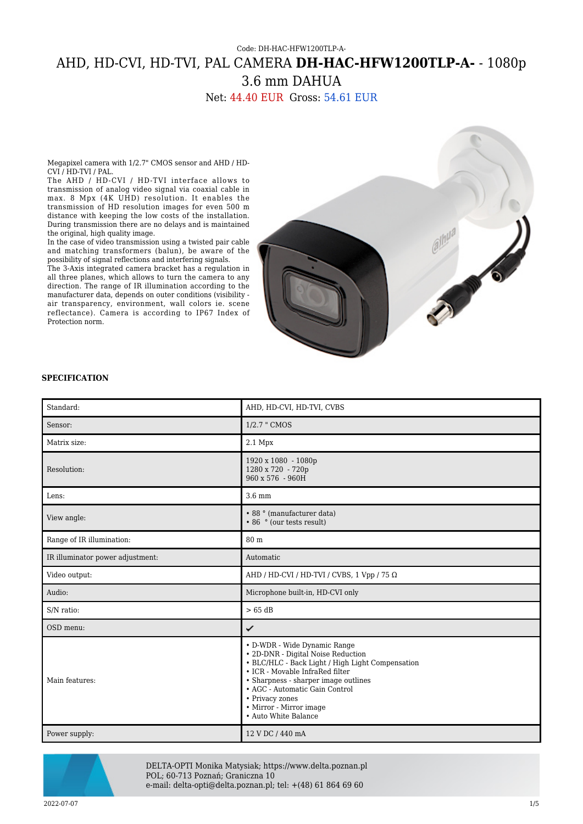# Code: DH-HAC-HFW1200TLP-A-AHD, HD-CVI, HD-TVI, PAL CAMERA **DH-HAC-HFW1200TLP-A-** - 1080p 3.6 mm DAHUA

Net: 44.40 EUR Gross: 54.61 EUR

Megapixel camera with 1/2.7" CMOS sensor and AHD / HD-CVI / HD-TVI / PAL.

The AHD / HD-CVI / HD-TVI interface allows to transmission of analog video signal via coaxial cable in max. 8 Mpx (4K UHD) resolution. It enables the transmission of HD resolution images for even 500 m distance with keeping the low costs of the installation. During transmission there are no delays and is maintained the original, high quality image.

In the case of video transmission using a twisted pair cable and matching transformers (balun), be aware of the possibility of signal reflections and interfering signals.

The 3-Axis integrated camera bracket has a regulation in all three planes, which allows to turn the camera to any direction. The range of IR illumination according to the manufacturer data, depends on outer conditions (visibility air transparency, environment, wall colors ie. scene reflectance). Camera is according to IP67 Index of Protection norm.



#### **SPECIFICATION**

| Standard:                        | AHD, HD-CVI, HD-TVI, CVBS                                                                                                                                                                                                                                                                                 |
|----------------------------------|-----------------------------------------------------------------------------------------------------------------------------------------------------------------------------------------------------------------------------------------------------------------------------------------------------------|
| Sensor:                          | 1/2.7 " CMOS                                                                                                                                                                                                                                                                                              |
| Matrix size:                     | $2.1$ Mpx                                                                                                                                                                                                                                                                                                 |
| Resolution:                      | 1920 x 1080 - 1080p<br>1280 x 720 - 720p<br>$960 \times 576 - 960H$                                                                                                                                                                                                                                       |
| Lens:                            | $3.6 \text{ mm}$                                                                                                                                                                                                                                                                                          |
| View angle:                      | • 88 ° (manufacturer data)<br>• 86 ° (our tests result)                                                                                                                                                                                                                                                   |
| Range of IR illumination:        | 80 <sub>m</sub>                                                                                                                                                                                                                                                                                           |
| IR illuminator power adjustment: | Automatic                                                                                                                                                                                                                                                                                                 |
| Video output:                    | AHD / HD-CVI / HD-TVI / CVBS, 1 Vpp / 75 $\Omega$                                                                                                                                                                                                                                                         |
| Audio:                           | Microphone built-in, HD-CVI only                                                                                                                                                                                                                                                                          |
| S/N ratio:                       | $>65$ dB                                                                                                                                                                                                                                                                                                  |
| OSD menu:                        | ✓                                                                                                                                                                                                                                                                                                         |
| Main features:                   | • D-WDR - Wide Dynamic Range<br>• 2D-DNR - Digital Noise Reduction<br>• BLC/HLC - Back Light / High Light Compensation<br>• ICR - Movable InfraRed filter<br>• Sharpness - sharper image outlines<br>• AGC - Automatic Gain Control<br>• Privacy zones<br>• Mirror - Mirror image<br>• Auto White Balance |
| Power supply:                    | 12 V DC / 440 mA                                                                                                                                                                                                                                                                                          |



DELTA-OPTI Monika Matysiak; https://www.delta.poznan.pl POL; 60-713 Poznań; Graniczna 10 e-mail: delta-opti@delta.poznan.pl; tel: +(48) 61 864 69 60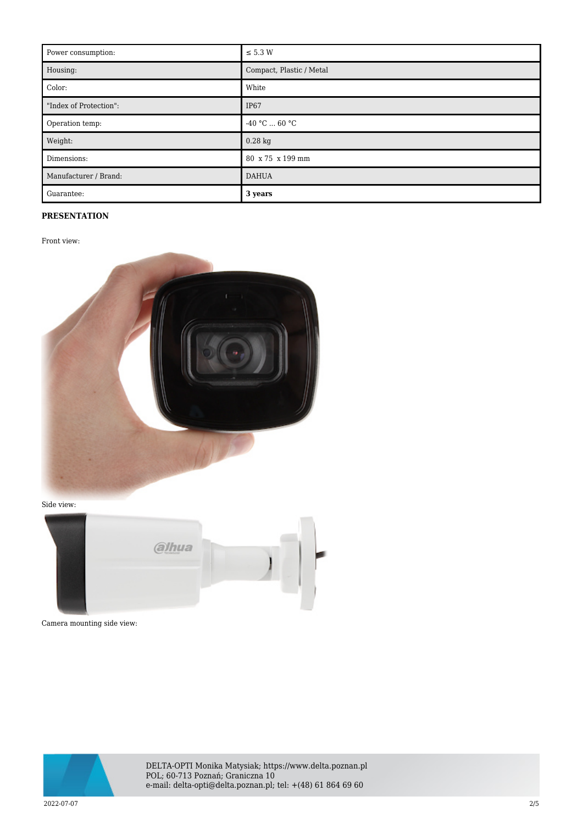| Power consumption:     | $\leq$ 5.3 W             |
|------------------------|--------------------------|
| Housing:               | Compact, Plastic / Metal |
| Color:                 | White                    |
| "Index of Protection": | IP <sub>67</sub>         |
| Operation temp:        | $-40 °C  60 °C$          |
| Weight:                | $0.28$ kg                |
| Dimensions:            | 80 x 75 x 199 mm         |
| Manufacturer / Brand:  | <b>DAHUA</b>             |
| Guarantee:             | 3 years                  |

## **PRESENTATION**

Front view:



Side view:



Camera mounting side view:



DELTA-OPTI Monika Matysiak; https://www.delta.poznan.pl POL; 60-713 Poznań; Graniczna 10 e-mail: delta-opti@delta.poznan.pl; tel: +(48) 61 864 69 60

2022-07-07 2/5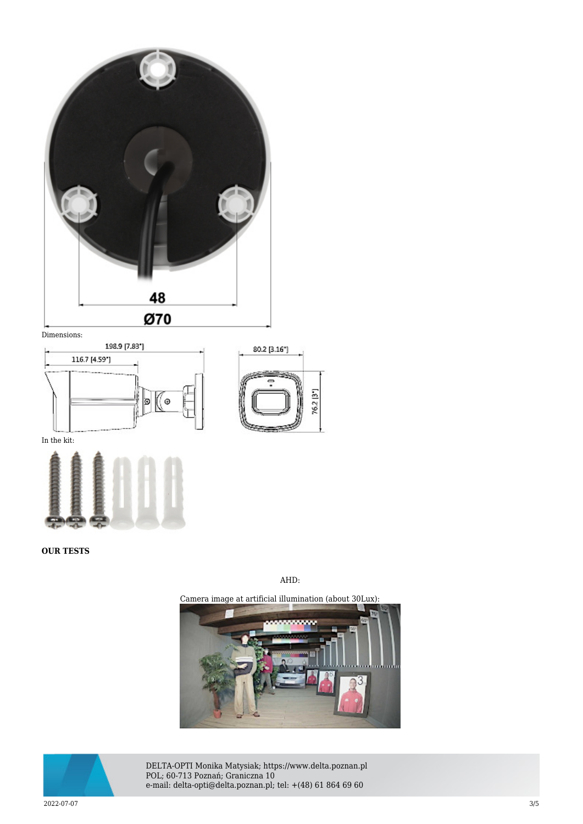

Dimensions:





In the kit:



**OUR TESTS**

#### AHD:







DELTA-OPTI Monika Matysiak; https://www.delta.poznan.pl POL; 60-713 Poznań; Graniczna 10 e-mail: delta-opti@delta.poznan.pl; tel: +(48) 61 864 69 60

2022-07-07 3/5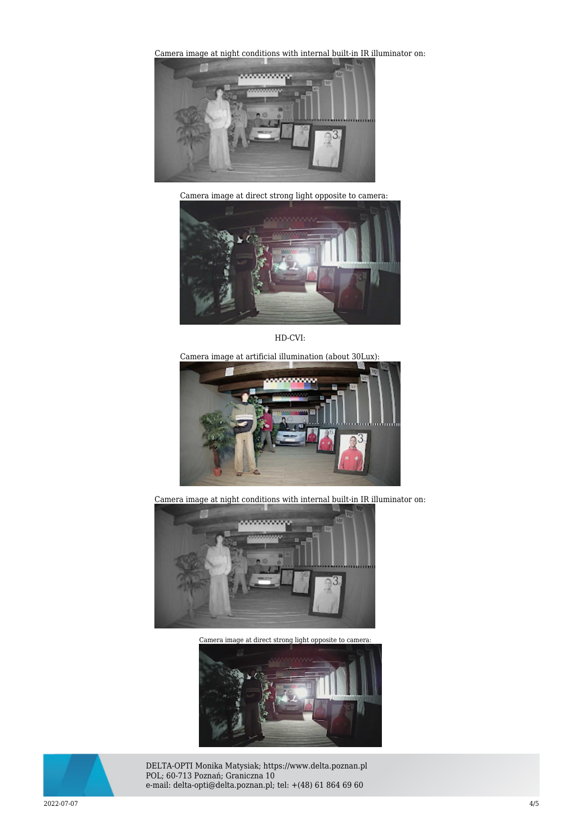[Camera image at night conditions with internal built-in IR il](https://sklep.delta.poznan.pl/obrazki2/dh-hac-hfw1200tlp-a-0360b-s4_ahd_img11_d.jpg)luminator on:



Camera image at direct strong light opposite to camera:



HD-CVI:

Camera image at artificial illumination (about 30Lux):



Camera image at night conditions with internal built-in IR illuminator on:



[Camera image at direct strong light opposite to camera:](https://sklep.delta.poznan.pl/obrazki2/dh-hac-hfw1200tlp-a-0360b-s4_cvi_img12_d.jpg) 





DELTA-OPTI Monika Matysiak; https://www.delta.poznan.pl POL; 60-713 Poznań; Graniczna 10 e-mail: delta-opti@delta.poznan.pl; tel: +(48) 61 864 69 60

2022-07-07 4/5